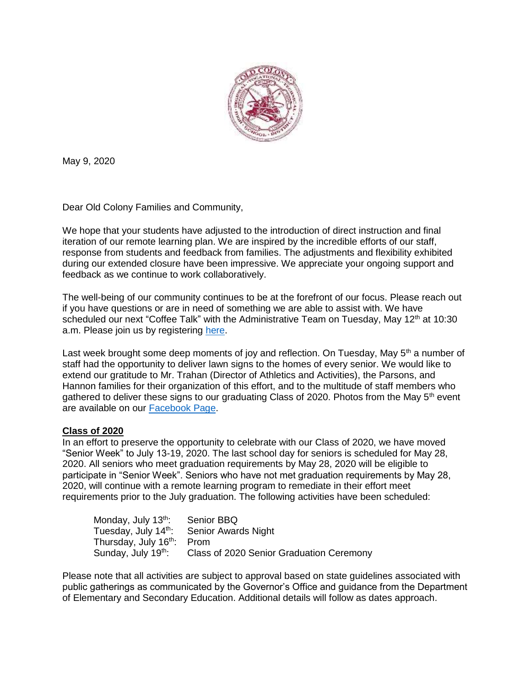

May 9, 2020

Dear Old Colony Families and Community,

We hope that your students have adjusted to the introduction of direct instruction and final iteration of our remote learning plan. We are inspired by the incredible efforts of our staff, response from students and feedback from families. The adjustments and flexibility exhibited during our extended closure have been impressive. We appreciate your ongoing support and feedback as we continue to work collaboratively.

The well-being of our community continues to be at the forefront of our focus. Please reach out if you have questions or are in need of something we are able to assist with. We have scheduled our next "Coffee Talk" with the Administrative Team on Tuesday, May 12<sup>th</sup> at 10:30 a.m. Please join us by registering [here.](https://us02web.zoom.us/meeting/register/tZwtcu-qrDsoEteTesV0Uml0Zcsg5kRXfD1M)

Last week brought some deep moments of joy and reflection. On Tuesday, May  $5<sup>th</sup>$  a number of staff had the opportunity to deliver lawn signs to the homes of every senior. We would like to extend our gratitude to Mr. Trahan (Director of Athletics and Activities), the Parsons, and Hannon families for their organization of this effort, and to the multitude of staff members who gathered to deliver these signs to our graduating Class of 2020. Photos from the May 5<sup>th</sup> event are available on our [Facebook Page.](https://www.facebook.com/OldColonyRVTHS)

## **Class of 2020**

In an effort to preserve the opportunity to celebrate with our Class of 2020, we have moved "Senior Week" to July 13-19, 2020. The last school day for seniors is scheduled for May 28, 2020. All seniors who meet graduation requirements by May 28, 2020 will be eligible to participate in "Senior Week". Seniors who have not met graduation requirements by May 28, 2020, will continue with a remote learning program to remediate in their effort meet requirements prior to the July graduation. The following activities have been scheduled:

| Monday, July 13 <sup>th</sup> :        | Senior BBQ                               |
|----------------------------------------|------------------------------------------|
| Tuesday, July 14 <sup>th</sup> :       | <b>Senior Awards Night</b>               |
| Thursday, July 16 <sup>th</sup> : Prom |                                          |
| Sunday, July 19 <sup>th</sup> :        | Class of 2020 Senior Graduation Ceremony |

Please note that all activities are subject to approval based on state guidelines associated with public gatherings as communicated by the Governor's Office and guidance from the Department of Elementary and Secondary Education. Additional details will follow as dates approach.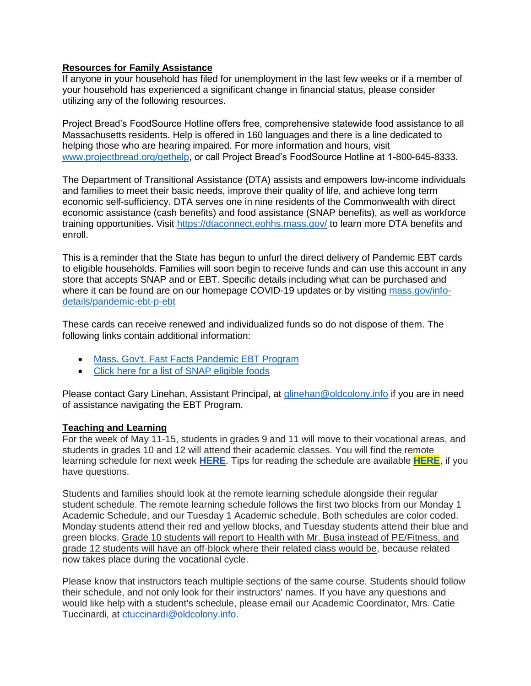## **Resources for Family Assistance**

If anyone in your household has filed for unemployment in the last few weeks or if a member of your household has experienced a significant change in financial status, please consider utilizing any of the following resources.

Project Bread's FoodSource Hotline offers free, comprehensive statewide food assistance to all Massachusetts residents. Help is offered in 160 languages and there is a line dedicated to helping those who are hearing impaired. For more information and hours, visit [www.projectbread.org/gethelp,](http://www.projectbread.org/gethelp) or call Project Bread's FoodSource Hotline at 1-800-645-8333.

The Department of Transitional Assistance (DTA) assists and empowers low-income individuals and families to meet their basic needs, improve their quality of life, and achieve long term economic self-sufficiency. DTA serves one in nine residents of the Commonwealth with direct economic assistance (cash benefits) and food assistance (SNAP benefits), as well as workforce training opportunities. Visit<https://dtaconnect.eohhs.mass.gov/> to learn more DTA benefits and enroll.

This is a reminder that the State has begun to unfurl the direct delivery of Pandemic EBT cards to eligible households. Families will soon begin to receive funds and can use this account in any store that accepts SNAP and or EBT. Specific details including what can be purchased and where it can be found are on our homepage COVID-19 updates or by visiting [mass.gov/info](http://mass.gov/info-details/pandemic-ebt-p-ebt)[details/pandemic-ebt-p-ebt](http://mass.gov/info-details/pandemic-ebt-p-ebt)

These cards can receive renewed and individualized funds so do not dispose of them. The following links contain additional information:

- [Mass. Gov't. Fast Facts Pandemic EBT Program](https://www.mass.gov/info-details/pandemic-ebt-p-ebt)
- [Click here for a list of SNAP eligible foods](https://www.mass.gov/files/documents/2016/08/wr/snap-eligible-foods.pdf?_ga=2.255139085.46967995.1585141848-1340380686.1579544316)

Please contact Gary Linehan, Assistant Principal, at [glinehan@oldcolony.info](mailto:glinehan@oldcolony.info) if you are in need of assistance navigating the EBT Program.

## **Teaching and Learning**

For the week of May 11-15, students in grades 9 and 11 will move to their vocational areas, and students in grades 10 and 12 will attend their academic classes. You will find the remote learning schedule for next week **[HERE](https://docs.google.com/spreadsheets/d/10DvUFYB5HvJQgVMELHCdzhOapePgbUpN4nxGlxMaZbQ/edit?usp=sharing)**. Tips for reading the schedule are available **[HERE](https://oldcolony.us/wp-content/uploads/2020/05/Tips-for-reading-the-Remote-Learning-Schedule.pdf)**, if you have questions.

Students and families should look at the remote learning schedule alongside their regular student schedule. The remote learning schedule follows the first two blocks from our Monday 1 Academic Schedule, and our Tuesday 1 Academic schedule. Both schedules are color coded. Monday students attend their red and yellow blocks, and Tuesday students attend their blue and green blocks. Grade 10 students will report to Health with Mr. Busa instead of PE/Fitness, and grade 12 students will have an off-block where their related class would be, because related now takes place during the vocational cycle.

Please know that instructors teach multiple sections of the same course. Students should follow their schedule, and not only look for their instructors' names. If you have any questions and would like help with a student's schedule, please email our Academic Coordinator, Mrs. Catie Tuccinardi, at [ctuccinardi@oldcolony.info.](mailto:ctuccinardi@oldcolony.info)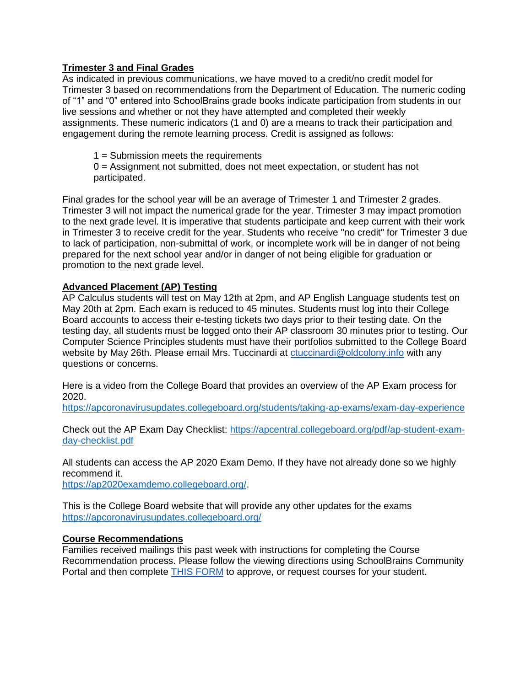# **Trimester 3 and Final Grades**

As indicated in previous communications, we have moved to a credit/no credit model for Trimester 3 based on recommendations from the Department of Education. The numeric coding of "1" and "0" entered into SchoolBrains grade books indicate participation from students in our live sessions and whether or not they have attempted and completed their weekly assignments. These numeric indicators (1 and 0) are a means to track their participation and engagement during the remote learning process. Credit is assigned as follows:

1 = Submission meets the requirements

0 = Assignment not submitted, does not meet expectation, or student has not participated.

Final grades for the school year will be an average of Trimester 1 and Trimester 2 grades. Trimester 3 will not impact the numerical grade for the year. Trimester 3 may impact promotion to the next grade level. It is imperative that students participate and keep current with their work in Trimester 3 to receive credit for the year. Students who receive "no credit" for Trimester 3 due to lack of participation, non-submittal of work, or incomplete work will be in danger of not being prepared for the next school year and/or in danger of not being eligible for graduation or promotion to the next grade level.

# **Advanced Placement (AP) Testing**

AP Calculus students will test on May 12th at 2pm, and AP English Language students test on May 20th at 2pm. Each exam is reduced to 45 minutes. Students must log into their College Board accounts to access their e-testing tickets two days prior to their testing date. On the testing day, all students must be logged onto their AP classroom 30 minutes prior to testing. Our Computer Science Principles students must have their portfolios submitted to the College Board website by May 26th. Please email Mrs. Tuccinardi at [ctuccinardi@oldcolony.info](mailto:ctuccinardi@oldcolony.info) with any questions or concerns.

Here is a video from the College Board that provides an overview of the AP Exam process for 2020.

<https://apcoronavirusupdates.collegeboard.org/students/taking-ap-exams/exam-day-experience>

Check out the AP Exam Day Checklist: [https://apcentral.collegeboard.org/pdf/ap-student-exam](https://apcentral.collegeboard.org/pdf/ap-student-exam-day-checklist.pdf)[day-checklist.pdf](https://apcentral.collegeboard.org/pdf/ap-student-exam-day-checklist.pdf)

All students can access the AP 2020 Exam Demo. If they have not already done so we highly recommend it. [https://ap2020examdemo.collegeboard.org/.](https://ap2020examdemo.collegeboard.org/)

This is the College Board website that will provide any other updates for the exams <https://apcoronavirusupdates.collegeboard.org/>

## **Course Recommendations**

Families received mailings this past week with instructions for completing the Course Recommendation process. Please follow the viewing directions using SchoolBrains Community Portal and then complete [THIS FORM](https://docs.google.com/forms/d/1PAY9tfE4rbDPG67hQ4WgdQRuSf_g2Af4JKu3J54GvI8/edit) to approve, or request courses for your student.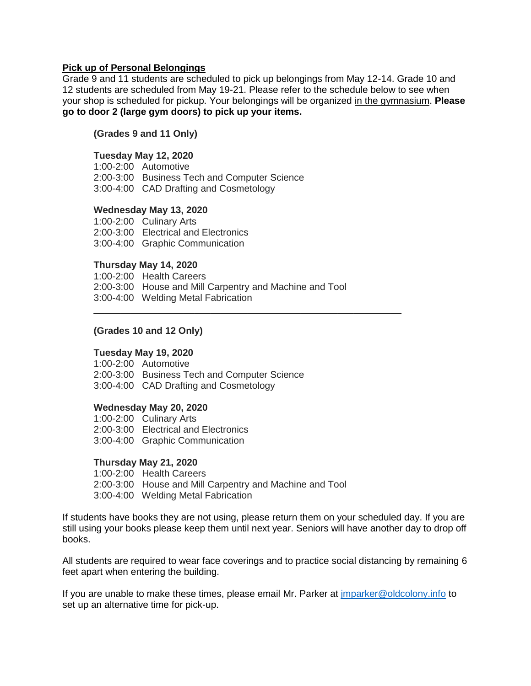### **Pick up of Personal Belongings**

Grade 9 and 11 students are scheduled to pick up belongings from May 12-14. Grade 10 and 12 students are scheduled from May 19-21. Please refer to the schedule below to see when your shop is scheduled for pickup. Your belongings will be organized in the gymnasium. **Please go to door 2 (large gym doors) to pick up your items.**

### **(Grades 9 and 11 Only)**

### **Tuesday May 12, 2020**

1:00-2:00 Automotive 2:00-3:00 Business Tech and Computer Science 3:00-4:00 CAD Drafting and Cosmetology

#### **Wednesday May 13, 2020**

1:00-2:00 Culinary Arts 2:00-3:00 Electrical and Electronics 3:00-4:00 Graphic Communication

#### **Thursday May 14, 2020**

1:00-2:00 Health Careers 2:00-3:00 House and Mill Carpentry and Machine and Tool 3:00-4:00 Welding Metal Fabrication

\_\_\_\_\_\_\_\_\_\_\_\_\_\_\_\_\_\_\_\_\_\_\_\_\_\_\_\_\_\_\_\_\_\_\_\_\_\_\_\_\_\_\_\_\_\_\_\_\_\_\_\_\_\_\_\_\_\_

#### **(Grades 10 and 12 Only)**

#### **Tuesday May 19, 2020**

1:00-2:00 Automotive 2:00-3:00 Business Tech and Computer Science 3:00-4:00 CAD Drafting and Cosmetology

#### **Wednesday May 20, 2020**

1:00-2:00 Culinary Arts 2:00-3:00 Electrical and Electronics 3:00-4:00 Graphic Communication

#### **Thursday May 21, 2020**

1:00-2:00 Health Careers 2:00-3:00 House and Mill Carpentry and Machine and Tool 3:00-4:00 Welding Metal Fabrication

If students have books they are not using, please return them on your scheduled day. If you are still using your books please keep them until next year. Seniors will have another day to drop off books.

All students are required to wear face coverings and to practice social distancing by remaining 6 feet apart when entering the building.

If you are unable to make these times, please email Mr. Parker at [jmparker@oldcolony.info](mailto:jmparker@oldcolony.info) to set up an alternative time for pick-up.